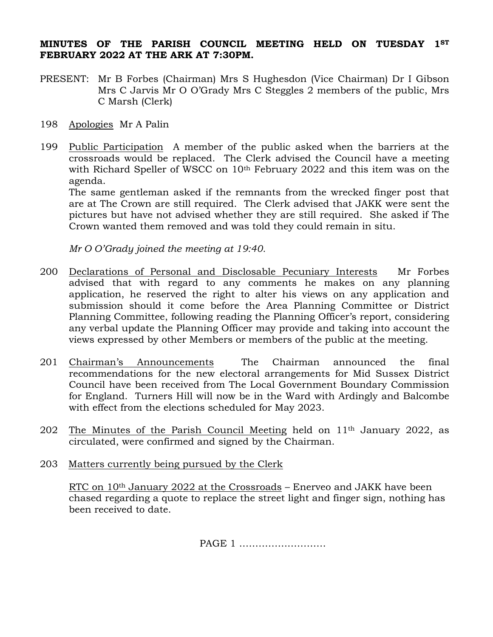## **MINUTES OF THE PARISH COUNCIL MEETING HELD ON TUESDAY 1ST FEBRUARY 2022 AT THE ARK AT 7:30PM.**

- PRESENT: Mr B Forbes (Chairman) Mrs S Hughesdon (Vice Chairman) Dr I Gibson Mrs C Jarvis Mr O O'Grady Mrs C Steggles 2 members of the public, Mrs C Marsh (Clerk)
- 198 Apologies Mr A Palin
- 199 Public Participation A member of the public asked when the barriers at the crossroads would be replaced. The Clerk advised the Council have a meeting with Richard Speller of WSCC on 10<sup>th</sup> February 2022 and this item was on the agenda.

The same gentleman asked if the remnants from the wrecked finger post that are at The Crown are still required. The Clerk advised that JAKK were sent the pictures but have not advised whether they are still required. She asked if The Crown wanted them removed and was told they could remain in situ.

*Mr O O'Grady joined the meeting at 19:40.*

- 200 Declarations of Personal and Disclosable Pecuniary Interests Mr Forbes advised that with regard to any comments he makes on any planning application, he reserved the right to alter his views on any application and submission should it come before the Area Planning Committee or District Planning Committee, following reading the Planning Officer's report, considering any verbal update the Planning Officer may provide and taking into account the views expressed by other Members or members of the public at the meeting.
- 201 Chairman's Announcements The Chairman announced the final recommendations for the new electoral arrangements for Mid Sussex District Council have been received from The Local Government Boundary Commission for England. Turners Hill will now be in the Ward with Ardingly and Balcombe with effect from the elections scheduled for May 2023.
- 202 The Minutes of the Parish Council Meeting held on 11<sup>th</sup> January 2022, as circulated, were confirmed and signed by the Chairman.
- 203 Matters currently being pursued by the Clerk

RTC on 10th January 2022 at the Crossroads – Enerveo and JAKK have been chased regarding a quote to replace the street light and finger sign, nothing has been received to date.

PAGE 1 ………………………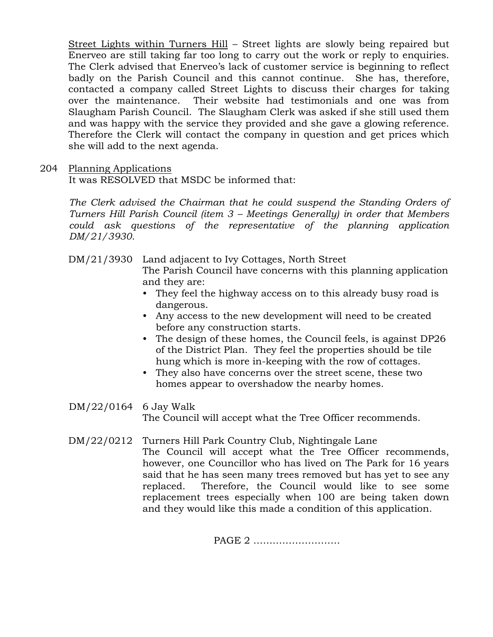Street Lights within Turners Hill – Street lights are slowly being repaired but Enerveo are still taking far too long to carry out the work or reply to enquiries. The Clerk advised that Enerveo's lack of customer service is beginning to reflect badly on the Parish Council and this cannot continue. She has, therefore, contacted a company called Street Lights to discuss their charges for taking over the maintenance. Their website had testimonials and one was from Slaugham Parish Council. The Slaugham Clerk was asked if she still used them and was happy with the service they provided and she gave a glowing reference. Therefore the Clerk will contact the company in question and get prices which she will add to the next agenda.

## 204 Planning Applications

It was RESOLVED that MSDC be informed that:

*The Clerk advised the Chairman that he could suspend the Standing Orders of Turners Hill Parish Council (item 3 – Meetings Generally) in order that Members could ask questions of the representative of the planning application DM/21/3930.*

DM/21/3930 Land adjacent to Ivy Cottages, North Street

The Parish Council have concerns with this planning application and they are:

- They feel the highway access on to this already busy road is dangerous.
- Any access to the new development will need to be created before any construction starts.
- The design of these homes, the Council feels, is against DP26 of the District Plan. They feel the properties should be tile hung which is more in-keeping with the row of cottages.
- They also have concerns over the street scene, these two homes appear to overshadow the nearby homes.

DM/22/0164 6 Jay Walk

The Council will accept what the Tree Officer recommends.

DM/22/0212 Turners Hill Park Country Club, Nightingale Lane

The Council will accept what the Tree Officer recommends, however, one Councillor who has lived on The Park for 16 years said that he has seen many trees removed but has yet to see any replaced. Therefore, the Council would like to see some replacement trees especially when 100 are being taken down and they would like this made a condition of this application.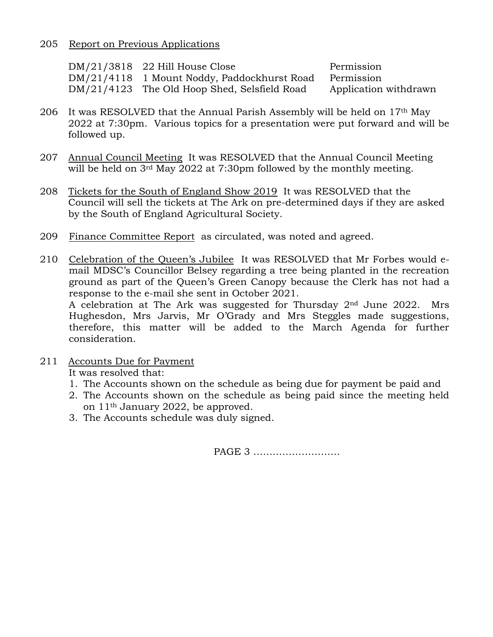## 205 Report on Previous Applications

| DM/21/3818 22 Hill House Close               | Permission            |
|----------------------------------------------|-----------------------|
| DM/21/4118 1 Mount Noddy, Paddockhurst Road  | Permission            |
| DM/21/4123 The Old Hoop Shed, Selsfield Road | Application withdrawn |

- 206 It was RESOLVED that the Annual Parish Assembly will be held on 17th May 2022 at 7:30pm. Various topics for a presentation were put forward and will be followed up.
- 207 Annual Council Meeting It was RESOLVED that the Annual Council Meeting will be held on 3<sup>rd</sup> May 2022 at 7:30pm followed by the monthly meeting.
- 208 Tickets for the South of England Show 2019 It was RESOLVED that the Council will sell the tickets at The Ark on pre-determined days if they are asked by the South of England Agricultural Society.
- 209 Finance Committee Report as circulated, was noted and agreed.
- 210 Celebration of the Queen's Jubilee It was RESOLVED that Mr Forbes would email MDSC's Councillor Belsey regarding a tree being planted in the recreation ground as part of the Queen's Green Canopy because the Clerk has not had a response to the e-mail she sent in October 2021. A celebration at The Ark was suggested for Thursday  $2<sup>nd</sup>$  June 2022. Mrs Hughesdon, Mrs Jarvis, Mr O'Grady and Mrs Steggles made suggestions, therefore, this matter will be added to the March Agenda for further consideration.
- 211 Accounts Due for Payment

It was resolved that:

- 1. The Accounts shown on the schedule as being due for payment be paid and
- 2. The Accounts shown on the schedule as being paid since the meeting held on 11th January 2022, be approved.
- 3. The Accounts schedule was duly signed.

PAGE 3 ………………………